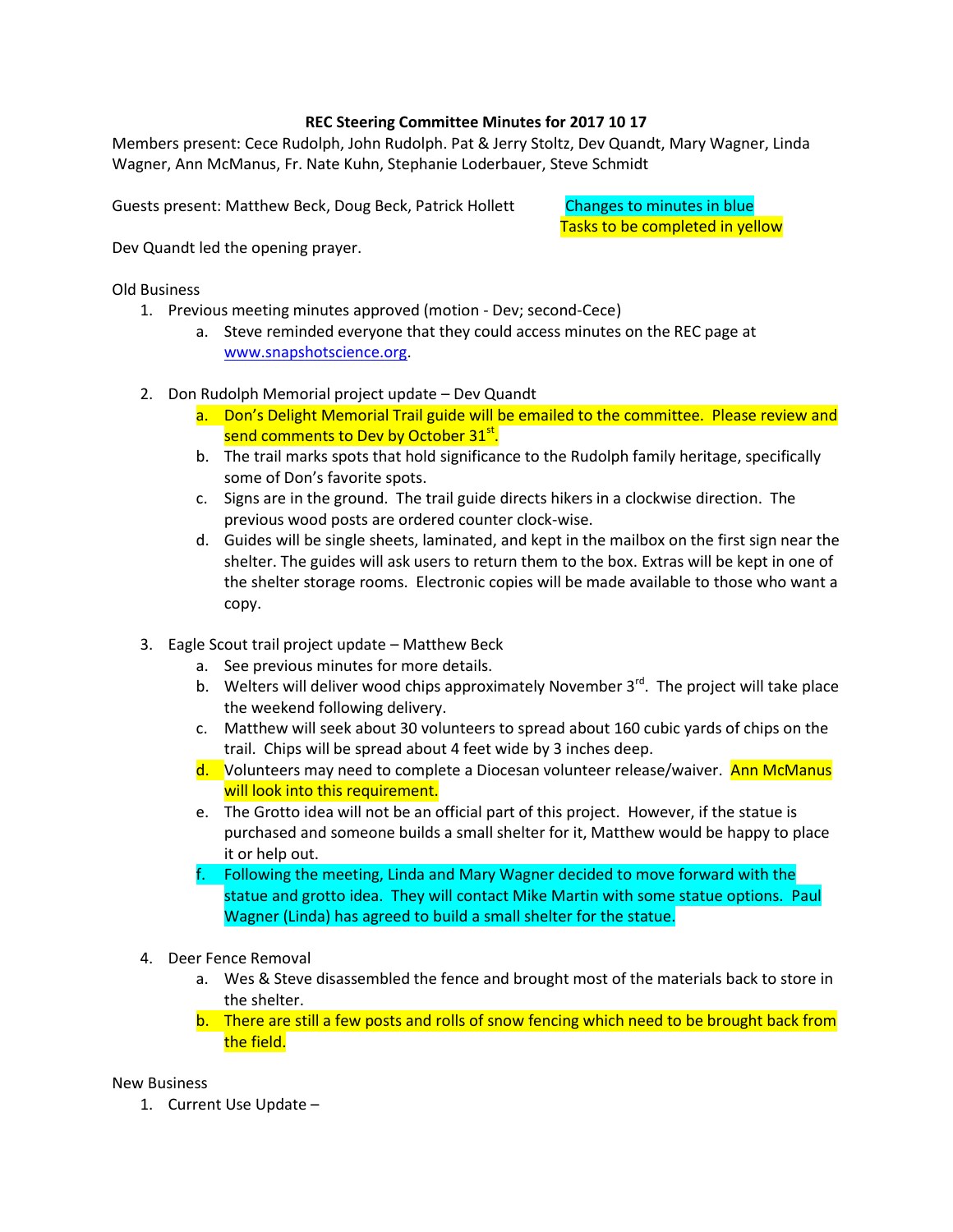## **REC Steering Committee Minutes for 2017 10 17**

Members present: Cece Rudolph, John Rudolph. Pat & Jerry Stoltz, Dev Quandt, Mary Wagner, Linda Wagner, Ann McManus, Fr. Nate Kuhn, Stephanie Loderbauer, Steve Schmidt

Guests present: Matthew Beck, Doug Beck, Patrick Hollett Changes to minutes in blue

Tasks to be completed in yellow

Dev Quandt led the opening prayer.

Old Business

- 1. Previous meeting minutes approved (motion Dev; second-Cece)
	- a. Steve reminded everyone that they could access minutes on the REC page at [www.snapshotscience.org.](http://www.snapshotscience.org/)
- 2. Don Rudolph Memorial project update Dev Quandt
	- a. Don's Delight Memorial Trail guide will be emailed to the committee. Please review and send comments to Dev by October 31st.
	- b. The trail marks spots that hold significance to the Rudolph family heritage, specifically some of Don's favorite spots.
	- c. Signs are in the ground. The trail guide directs hikers in a clockwise direction. The previous wood posts are ordered counter clock-wise.
	- d. Guides will be single sheets, laminated, and kept in the mailbox on the first sign near the shelter. The guides will ask users to return them to the box. Extras will be kept in one of the shelter storage rooms. Electronic copies will be made available to those who want a copy.
- 3. Eagle Scout trail project update Matthew Beck
	- a. See previous minutes for more details.
	- b. Welters will deliver wood chips approximately November  $3<sup>rd</sup>$ . The project will take place the weekend following delivery.
	- c. Matthew will seek about 30 volunteers to spread about 160 cubic yards of chips on the trail. Chips will be spread about 4 feet wide by 3 inches deep.
	- d. Volunteers may need to complete a Diocesan volunteer release/waiver. Ann McManus will look into this requirement.
	- e. The Grotto idea will not be an official part of this project. However, if the statue is purchased and someone builds a small shelter for it, Matthew would be happy to place it or help out.
	- f. Following the meeting, Linda and Mary Wagner decided to move forward with the statue and grotto idea. They will contact Mike Martin with some statue options. Paul Wagner (Linda) has agreed to build a small shelter for the statue.
- 4. Deer Fence Removal
	- a. Wes & Steve disassembled the fence and brought most of the materials back to store in the shelter.
	- b. There are still a few posts and rolls of snow fencing which need to be brought back from the field.

New Business

1. Current Use Update –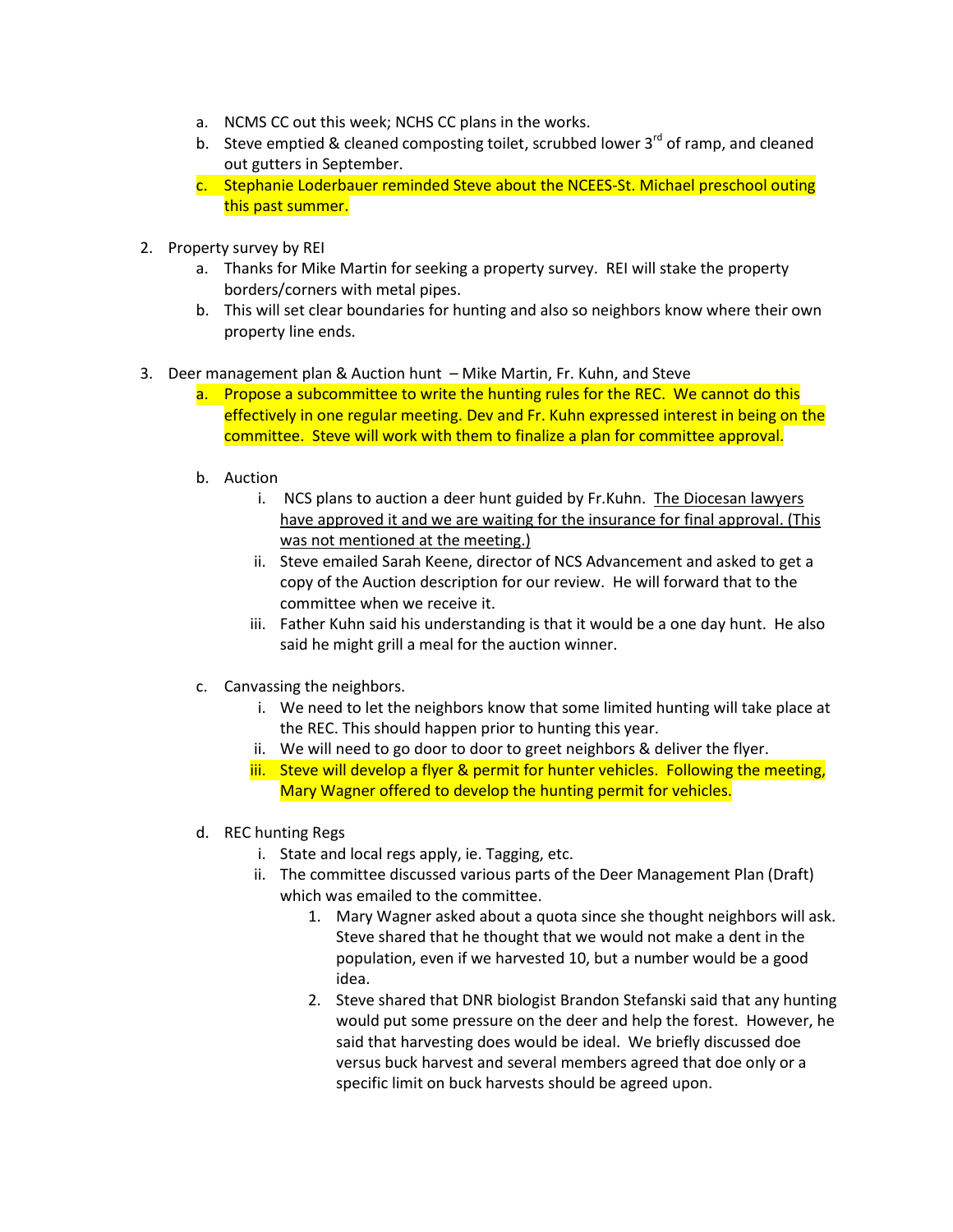- a. NCMS CC out this week; NCHS CC plans in the works.
- b. Steve emptied & cleaned composting toilet, scrubbed lower  $3<sup>rd</sup>$  of ramp, and cleaned out gutters in September.
- c. Stephanie Loderbauer reminded Steve about the NCEES-St. Michael preschool outing this past summer.
- 2. Property survey by REI
	- a. Thanks for Mike Martin for seeking a property survey. REI will stake the property borders/corners with metal pipes.
	- b. This will set clear boundaries for hunting and also so neighbors know where their own property line ends.

## 3. Deer management plan & Auction hunt – Mike Martin, Fr. Kuhn, and Steve

- a. Propose a subcommittee to write the hunting rules for the REC. We cannot do this effectively in one regular meeting. Dev and Fr. Kuhn expressed interest in being on the committee. Steve will work with them to finalize a plan for committee approval.
- b. Auction
	- i. NCS plans to auction a deer hunt guided by Fr.Kuhn. The Diocesan lawyers have approved it and we are waiting for the insurance for final approval. (This was not mentioned at the meeting.)
	- ii. Steve emailed Sarah Keene, director of NCS Advancement and asked to get a copy of the Auction description for our review. He will forward that to the committee when we receive it.
	- iii. Father Kuhn said his understanding is that it would be a one day hunt. He also said he might grill a meal for the auction winner.
- c. Canvassing the neighbors.
	- i. We need to let the neighbors know that some limited hunting will take place at the REC. This should happen prior to hunting this year.
	- ii. We will need to go door to door to greet neighbors & deliver the flyer.
	- iii. Steve will develop a flyer & permit for hunter vehicles. Following the meeting, Mary Wagner offered to develop the hunting permit for vehicles.
- d. REC hunting Regs
	- i. State and local regs apply, ie. Tagging, etc.
	- ii. The committee discussed various parts of the Deer Management Plan (Draft) which was emailed to the committee.
		- 1. Mary Wagner asked about a quota since she thought neighbors will ask. Steve shared that he thought that we would not make a dent in the population, even if we harvested 10, but a number would be a good idea.
		- 2. Steve shared that DNR biologist Brandon Stefanski said that any hunting would put some pressure on the deer and help the forest. However, he said that harvesting does would be ideal. We briefly discussed doe versus buck harvest and several members agreed that doe only or a specific limit on buck harvests should be agreed upon.